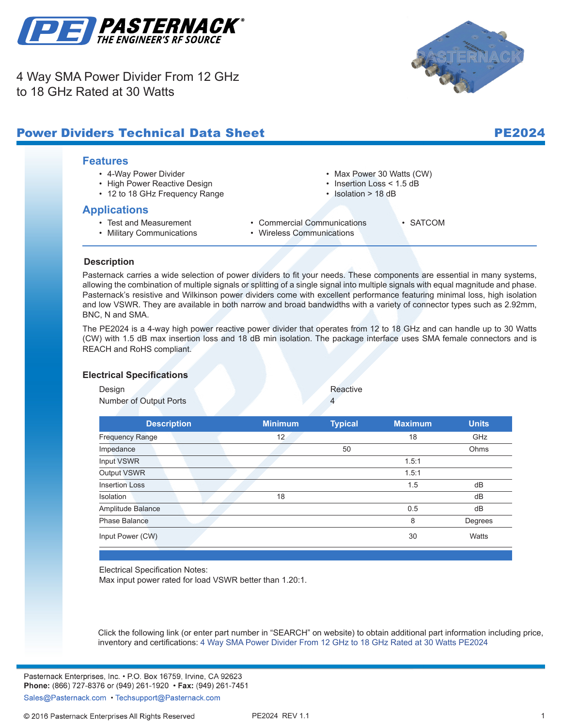

4 Way SMA Power Divider From 12 GHz to 18 GHz Rated at 30 Watts



#### **Features** • 4-Way Power Divider • High Power Reactive Design • 12 to 18 GHz Frequency Range • Max Power 30 Watts (CW) • Insertion Loss < 1.5 dB • Isolation > 18 dB **Applications** • Test and Measurement • Military Communications • Commercial Communications • Wireless Communications • SATCOM **.** Power Dividers Technical Data Sheet Pearl PE2024

## **Description**

Pasternack carries a wide selection of power dividers to fit your needs. These components are essential in many systems, allowing the combination of multiple signals or splitting of a single signal into multiple signals with equal magnitude and phase. Pasternack's resistive and Wilkinson power dividers come with excellent performance featuring minimal loss, high isolation and low VSWR. They are available in both narrow and broad bandwidths with a variety of connector types such as 2.92mm, BNC, N and SMA.

The PE2024 is a 4-way high power reactive power divider that operates from 12 to 18 GHz and can handle up to 30 Watts (CW) with 1.5 dB max insertion loss and 18 dB min isolation. The package interface uses SMA female connectors and is REACH and RoHS compliant.

#### **Electrical Specifications**

Design **Reactive** 

Number of Output Ports 4

**Description Minimum Typical Maximum Units** Frequency Range 12 and 12 18 GHz Impedance 50 Ohms **Input VSWR** 1.5:1 **Output VSWR** 1.5:1 Insertion Loss dB Isolation dB and the control of the control of the control of the control of the control of the control of the control of the control of the control of the control of the control of the control of the control of the contro Amplitude Balance de Communication and the Communication of the Communication of the Communication of the Communication of the Communication of the Communication of the Communication of the Communication of the Communicati **Phase Balance 8** Degrees **Input Power (CW)** 30 Watts

Electrical Specification Notes:

Max input power rated for load VSWR better than 1.20:1.

Click the following link (or enter part number in "SEARCH" on website) to obtain additional part information including price, inventory and certifications: [4 Way SMA Power Divider From 12 GHz to 18 GHz Rated at 30 Watts](http://www.pasternack.com/4-way-sma-reactive-power-divider-12-ghz-18-ghz-10-watts-pe2024-p.aspx) [PE2024](http://www.pasternack.com/4-way-sma-reactive-power-divider-12-ghz-18-ghz-10-watts-pe2024-p.aspx)

Pasternack Enterprises, Inc. • P.O. Box 16759, Irvine, CA 92623 Phone: (866) 727-8376 or (949) 261-1920 • Fax: (949) 261-7451

Sales@Pasternack.com • Techsupport@Pasternack.com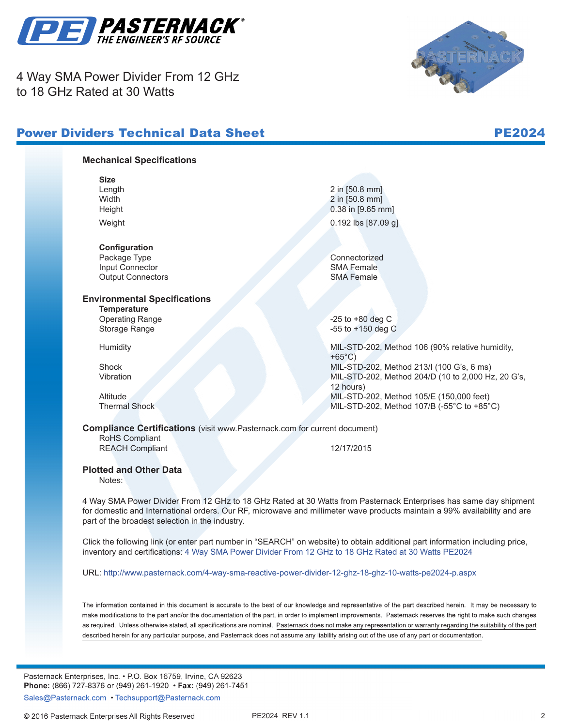

4 Way SMA Power Divider From 12 GHz to 18 GHz Rated at 30 Watts





### **Mechanical Specifications**

**Size**

**Configuration** Package Type Connectorized<br>
Input Connector<br>
Input Connector Input Connector SMA Female<br>
Output Connectors<br>
SMA Female **Output Connectors** 

# **Environmental Specifications**

**Temperature** Operating Range -25 to +80 deg C

Length 2 in [50.8 mm] Width 2 in [50.8 mm] Height 0.38 in [9.65 mm] . Weight 0.192 lbs [87.09 g]

Storage Range **-55** to +150 deg C

Humidity MIL-STD-202, Method 106 (90% relative humidity,  $+65^{\circ}$ C) Shock MIL-STD-202, Method 213/I (100 G's, 6 ms) Vibration MIL-STD-202, Method 204/D (10 to 2,000 Hz, 20 G's, 12 hours) Altitude MIL-STD-202, Method 105/E (150,000 feet) Thermal Shock MIL-STD-202, Method 107/B (-55°C to +85°C)

## **Compliance Certifications** (visit www.Pasternack.com for current document)

RoHS Compliant REACH Compliant 12/17/2015

#### **Plotted and Other Data**

Notes:

4 Way SMA Power Divider From 12 GHz to 18 GHz Rated at 30 Watts from Pasternack Enterprises has same day shipment for domestic and International orders. Our RF, microwave and millimeter wave products maintain a 99% availability and are part of the broadest selection in the industry.

Click the following link (or enter part number in "SEARCH" on website) to obtain additional part information including price, inventory and certifications: [4 Way SMA Power Divider From 12 GHz to 18 GHz Rated at 30 Watts](http://www.pasternack.com/4-way-sma-reactive-power-divider-12-ghz-18-ghz-10-watts-pe2024-p.aspx) [PE2024](http://www.pasternack.com/4-way-sma-reactive-power-divider-12-ghz-18-ghz-10-watts-pe2024-p.aspx)

URL: <http://www.pasternack.com/4-way-sma-reactive-power-divider-12-ghz-18-ghz-10-watts-pe2024-p.aspx>

The information contained in this document is accurate to the best of our knowledge and representative of the part described herein. It may be necessary to make modifications to the part and/or the documentation of the part, in order to implement improvements. Pasternack reserves the right to make such changes as required. Unless otherwise stated, all specifications are nominal. Pasternack does not make any representation or warranty regarding the suitability of the part described herein for any particular purpose, and Pasternack does not assume any liability arising out of the use of any part or documentation.

Pasternack Enterprises, Inc. • P.O. Box 16759, Irvine, CA 92623 Phone: (866) 727-8376 or (949) 261-1920 • Fax: (949) 261-7451

Sales@Pasternack.com • Techsupport@Pasternack.com